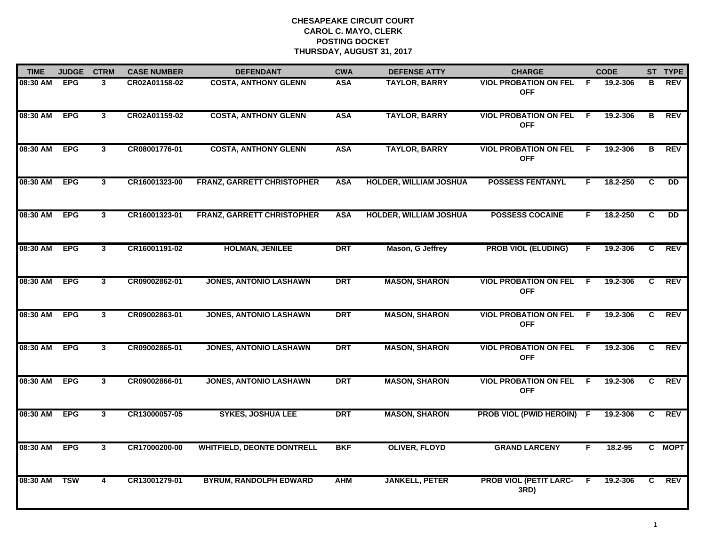| <b>TIME</b> | <b>JUDGE</b> | <b>CTRM</b>    | <b>CASE NUMBER</b> | <b>DEFENDANT</b>                  | <b>CWA</b> | <b>DEFENSE ATTY</b>           | <b>CHARGE</b>                              |    | <b>CODE</b> |    | ST TYPE    |
|-------------|--------------|----------------|--------------------|-----------------------------------|------------|-------------------------------|--------------------------------------------|----|-------------|----|------------|
| 08:30 AM    | <b>EPG</b>   | 3              | CR02A01158-02      | <b>COSTA, ANTHONY GLENN</b>       | <b>ASA</b> | <b>TAYLOR, BARRY</b>          | <b>VIOL PROBATION ON FEL</b><br><b>OFF</b> | F  | 19.2-306    | в  | REV        |
| 08:30 AM    | <b>EPG</b>   | $\mathbf{3}$   | CR02A01159-02      | <b>COSTA, ANTHONY GLENN</b>       | <b>ASA</b> | <b>TAYLOR, BARRY</b>          | <b>VIOL PROBATION ON FEL</b><br><b>OFF</b> | -F | 19.2-306    | В  | REV        |
| 08:30 AM    | <b>EPG</b>   | 3              | CR08001776-01      | <b>COSTA, ANTHONY GLENN</b>       | <b>ASA</b> | <b>TAYLOR, BARRY</b>          | <b>VIOL PROBATION ON FEL</b><br><b>OFF</b> | F  | 19.2-306    | в  | <b>REV</b> |
| 08:30 AM    | <b>EPG</b>   | 3              | CR16001323-00      | <b>FRANZ, GARRETT CHRISTOPHER</b> | <b>ASA</b> | <b>HOLDER, WILLIAM JOSHUA</b> | <b>POSSESS FENTANYL</b>                    | F. | 18.2-250    | C  | <b>DD</b>  |
| 08:30 AM    | <b>EPG</b>   | 3              | CR16001323-01      | <b>FRANZ, GARRETT CHRISTOPHER</b> | <b>ASA</b> | <b>HOLDER, WILLIAM JOSHUA</b> | <b>POSSESS COCAINE</b>                     | F. | 18.2-250    | C  | <b>DD</b>  |
| 08:30 AM    | <b>EPG</b>   | 3              | CR16001191-02      | <b>HOLMAN, JENILEE</b>            | <b>DRT</b> | Mason, G Jeffrey              | <b>PROB VIOL (ELUDING)</b>                 | F. | 19.2-306    | C. | <b>REV</b> |
| 08:30 AM    | <b>EPG</b>   | $\mathbf{3}$   | CR09002862-01      | <b>JONES, ANTONIO LASHAWN</b>     | <b>DRT</b> | <b>MASON, SHARON</b>          | <b>VIOL PROBATION ON FEL</b><br><b>OFF</b> | F. | 19.2-306    | C  | <b>REV</b> |
| 08:30 AM    | <b>EPG</b>   | 3              | CR09002863-01      | <b>JONES, ANTONIO LASHAWN</b>     | <b>DRT</b> | <b>MASON, SHARON</b>          | <b>VIOL PROBATION ON FEL</b><br><b>OFF</b> | -F | 19.2-306    | C  | <b>REV</b> |
| 08:30 AM    | <b>EPG</b>   | 3              | CR09002865-01      | <b>JONES, ANTONIO LASHAWN</b>     | <b>DRT</b> | <b>MASON, SHARON</b>          | <b>VIOL PROBATION ON FEL</b><br><b>OFF</b> | -F | 19.2-306    | C  | <b>REV</b> |
| 08:30 AM    | <b>EPG</b>   | 3              | CR09002866-01      | <b>JONES, ANTONIO LASHAWN</b>     | <b>DRT</b> | <b>MASON, SHARON</b>          | <b>VIOL PROBATION ON FEL</b><br><b>OFF</b> | -F | 19.2-306    | C. | <b>REV</b> |
| 08:30 AM    | <b>EPG</b>   | 3              | CR13000057-05      | <b>SYKES, JOSHUA LEE</b>          | <b>DRT</b> | <b>MASON, SHARON</b>          | PROB VIOL (PWID HEROIN) F                  |    | 19.2-306    | C. | REV        |
| 08:30 AM    | <b>EPG</b>   | $\overline{3}$ | CR17000200-00      | <b>WHITFIELD, DEONTE DONTRELL</b> | <b>BKF</b> | <b>OLIVER, FLOYD</b>          | <b>GRAND LARCENY</b>                       | F  | $18.2 - 95$ |    | C MOPT     |
| 08:30 AM    | <b>TSW</b>   | 4              | CR13001279-01      | <b>BYRUM, RANDOLPH EDWARD</b>     | <b>AHM</b> | <b>JANKELL, PETER</b>         | <b>PROB VIOL (PETIT LARC-</b><br>3RD)      | F. | 19.2-306    | C. | REV        |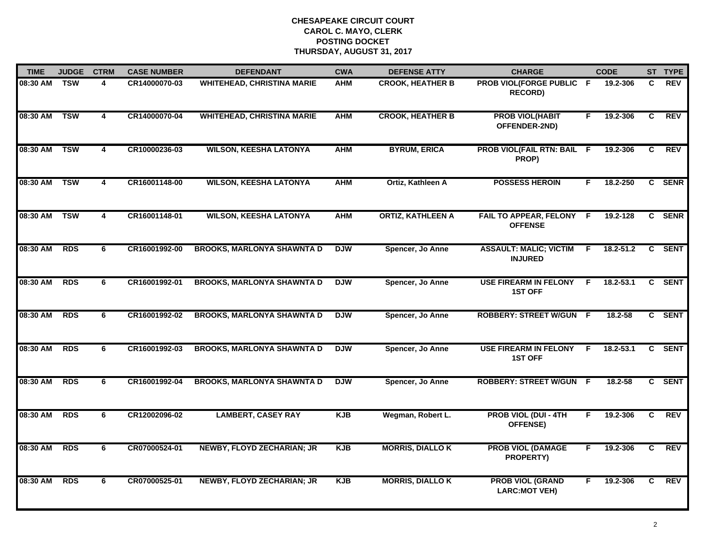| <b>TIME</b> | <b>JUDGE</b> | <b>CTRM</b>             | <b>CASE NUMBER</b> | <b>DEFENDANT</b>                  | <b>CWA</b> | <b>DEFENSE ATTY</b>      | <b>CHARGE</b>                                   |    | <b>CODE</b>   |    | ST TYPE     |
|-------------|--------------|-------------------------|--------------------|-----------------------------------|------------|--------------------------|-------------------------------------------------|----|---------------|----|-------------|
| 08:30 AM    | <b>TSW</b>   | 4                       | CR14000070-03      | <b>WHITEHEAD, CHRISTINA MARIE</b> | <b>AHM</b> | <b>CROOK, HEATHER B</b>  | PROB VIOL(FORGE PUBLIC F<br><b>RECORD)</b>      |    | 19.2-306      | C  | <b>REV</b>  |
| 08:30 AM    | <b>TSW</b>   | $\overline{\mathbf{4}}$ | CR14000070-04      | <b>WHITEHEAD, CHRISTINA MARIE</b> | <b>AHM</b> | <b>CROOK, HEATHER B</b>  | <b>PROB VIOL(HABIT</b><br>OFFENDER-2ND)         | F. | 19.2-306      | C. | <b>REV</b>  |
| 08:30 AM    | <b>TSW</b>   | 4                       | CR10000236-03      | <b>WILSON, KEESHA LATONYA</b>     | <b>AHM</b> | <b>BYRUM, ERICA</b>      | PROB VIOL(FAIL RTN: BAIL F<br>PROP)             |    | 19.2-306      | C  | <b>REV</b>  |
| 08:30 AM    | <b>TSW</b>   | 4                       | CR16001148-00      | <b>WILSON, KEESHA LATONYA</b>     | <b>AHM</b> | Ortiz, Kathleen A        | <b>POSSESS HEROIN</b>                           | F. | 18.2-250      |    | C SENR      |
| 08:30 AM    | <b>TSW</b>   | 4                       | CR16001148-01      | <b>WILSON, KEESHA LATONYA</b>     | <b>AHM</b> | <b>ORTIZ, KATHLEEN A</b> | FAIL TO APPEAR, FELONY F<br><b>OFFENSE</b>      |    | 19.2-128      |    | C SENR      |
| 08:30 AM    | <b>RDS</b>   | 6                       | CR16001992-00      | <b>BROOKS, MARLONYA SHAWNTA D</b> | <b>DJW</b> | Spencer, Jo Anne         | <b>ASSAULT: MALIC; VICTIM</b><br><b>INJURED</b> | -F | 18.2-51.2     |    | C SENT      |
| 08:30 AM    | <b>RDS</b>   | 6                       | CR16001992-01      | <b>BROOKS, MARLONYA SHAWNTA D</b> | <b>DJW</b> | Spencer, Jo Anne         | <b>USE FIREARM IN FELONY</b><br><b>1ST OFF</b>  | -F | $18.2 - 53.1$ | C  | <b>SENT</b> |
| 08:30 AM    | RDS          | 6                       | CR16001992-02      | <b>BROOKS, MARLONYA SHAWNTA D</b> | <b>DJW</b> | Spencer, Jo Anne         | <b>ROBBERY: STREET W/GUN F</b>                  |    | 18.2-58       |    | C SENT      |
| 08:30 AM    | <b>RDS</b>   | 6                       | CR16001992-03      | <b>BROOKS, MARLONYA SHAWNTA D</b> | <b>DJW</b> | Spencer, Jo Anne         | <b>USE FIREARM IN FELONY</b><br><b>1ST OFF</b>  | F. | 18.2-53.1     | C  | <b>SENT</b> |
| 08:30 AM    | <b>RDS</b>   | 6                       | CR16001992-04      | <b>BROOKS, MARLONYA SHAWNTA D</b> | <b>DJW</b> | Spencer, Jo Anne         | <b>ROBBERY: STREET W/GUN</b>                    | -F | $18.2 - 58$   |    | C SENT      |
| 08:30 AM    | <b>RDS</b>   | 6                       | CR12002096-02      | <b>LAMBERT, CASEY RAY</b>         | <b>KJB</b> | Wegman, Robert L.        | <b>PROB VIOL (DUI - 4TH</b><br><b>OFFENSE)</b>  | F. | 19.2-306      | C. | <b>REV</b>  |
| 08:30 AM    | <b>RDS</b>   | 6                       | CR07000524-01      | <b>NEWBY, FLOYD ZECHARIAN; JR</b> | <b>KJB</b> | <b>MORRIS, DIALLO K</b>  | <b>PROB VIOL (DAMAGE</b><br><b>PROPERTY)</b>    | F. | 19.2-306      | C. | <b>REV</b>  |
| 08:30 AM    | <b>RDS</b>   | 6                       | CR07000525-01      | <b>NEWBY, FLOYD ZECHARIAN; JR</b> | <b>KJB</b> | <b>MORRIS, DIALLO K</b>  | <b>PROB VIOL (GRAND</b><br><b>LARC:MOT VEH)</b> | F  | 19.2-306      | C. | <b>REV</b>  |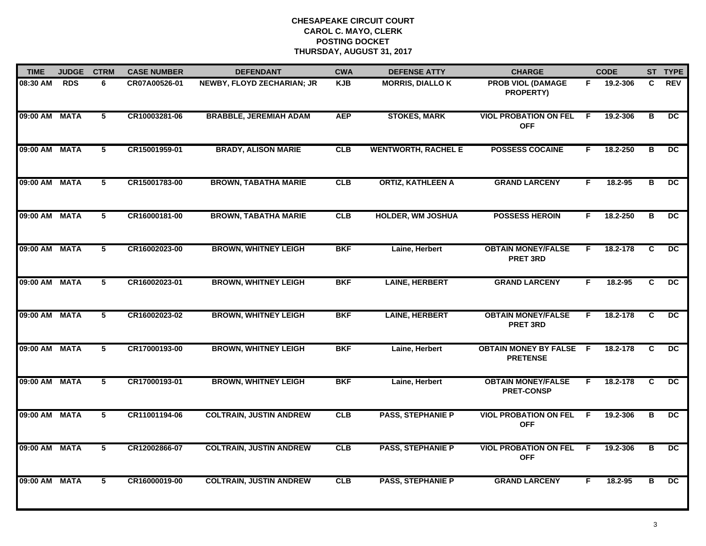| <b>TIME</b>   | <b>JUDGE</b> | <b>CTRM</b>     | <b>CASE NUMBER</b> | <b>DEFENDANT</b>               | <b>CWA</b> | <b>DEFENSE ATTY</b>        | <b>CHARGE</b>                                     |     | <b>CODE</b> |                | ST TYPE         |
|---------------|--------------|-----------------|--------------------|--------------------------------|------------|----------------------------|---------------------------------------------------|-----|-------------|----------------|-----------------|
| 08:30 AM      | <b>RDS</b>   | 6               | CR07A00526-01      | NEWBY, FLOYD ZECHARIAN; JR     | <b>KJB</b> | <b>MORRIS, DIALLO K</b>    | <b>PROB VIOL (DAMAGE</b><br><b>PROPERTY)</b>      | F.  | 19.2-306    | C.             | <b>REV</b>      |
| 09:00 AM MATA |              | $\overline{5}$  | CR10003281-06      | <b>BRABBLE, JEREMIAH ADAM</b>  | <b>AEP</b> | <b>STOKES, MARK</b>        | <b>VIOL PROBATION ON FEL</b><br><b>OFF</b>        | F   | 19.2-306    | B              | $\overline{DC}$ |
| 09:00 AM MATA |              | $\overline{5}$  | CR15001959-01      | <b>BRADY, ALISON MARIE</b>     | CLB        | <b>WENTWORTH, RACHEL E</b> | <b>POSSESS COCAINE</b>                            | F.  | 18.2-250    | в              | $\overline{DC}$ |
| 09:00 AM MATA |              | 5               | CR15001783-00      | <b>BROWN, TABATHA MARIE</b>    | CLB        | <b>ORTIZ, KATHLEEN A</b>   | <b>GRAND LARCENY</b>                              | F.  | 18.2-95     | В              | DC.             |
| 09:00 AM MATA |              | 5               | CR16000181-00      | <b>BROWN, TABATHA MARIE</b>    | <b>CLB</b> | <b>HOLDER, WM JOSHUA</b>   | <b>POSSESS HEROIN</b>                             | F.  | 18.2-250    | B              | DC.             |
| 09:00 AM MATA |              | $\overline{5}$  | CR16002023-00      | <b>BROWN, WHITNEY LEIGH</b>    | <b>BKF</b> | Laine, Herbert             | <b>OBTAIN MONEY/FALSE</b><br><b>PRET 3RD</b>      | F.  | 18.2-178    | C              | DC              |
| 09:00 AM MATA |              | 5               | CR16002023-01      | <b>BROWN, WHITNEY LEIGH</b>    | <b>BKF</b> | <b>LAINE, HERBERT</b>      | <b>GRAND LARCENY</b>                              | F   | $18.2 - 95$ | C              | $\overline{DC}$ |
| 09:00 AM      | <b>MATA</b>  | $\overline{5}$  | CR16002023-02      | <b>BROWN, WHITNEY LEIGH</b>    | <b>BKF</b> | <b>LAINE, HERBERT</b>      | <b>OBTAIN MONEY/FALSE</b><br><b>PRET 3RD</b>      | F   | 18.2-178    | $\overline{c}$ | DC              |
| 09:00 AM MATA |              | 5               | CR17000193-00      | <b>BROWN, WHITNEY LEIGH</b>    | <b>BKF</b> | Laine, Herbert             | <b>OBTAIN MONEY BY FALSE F</b><br><b>PRETENSE</b> |     | 18.2-178    | C              | DC.             |
| 09:00 AM MATA |              | 5               | CR17000193-01      | <b>BROWN, WHITNEY LEIGH</b>    | <b>BKF</b> | Laine, Herbert             | <b>OBTAIN MONEY/FALSE</b><br><b>PRET-CONSP</b>    | F.  | 18.2-178    | C              | DC.             |
| 09:00 AM MATA |              | 5               | CR11001194-06      | <b>COLTRAIN, JUSTIN ANDREW</b> | CLB        | <b>PASS, STEPHANIE P</b>   | <b>VIOL PROBATION ON FEL</b><br><b>OFF</b>        | -F  | 19.2-306    | В              | $\overline{DC}$ |
| 09:00 AM MATA |              | $5\overline{ }$ | CR12002866-07      | <b>COLTRAIN, JUSTIN ANDREW</b> | CLB        | <b>PASS, STEPHANIE P</b>   | <b>VIOL PROBATION ON FEL</b><br><b>OFF</b>        | - F | 19.2-306    | В              | $\overline{DC}$ |
| 09:00 AM MATA |              | 5               | CR16000019-00      | <b>COLTRAIN, JUSTIN ANDREW</b> | CLB        | <b>PASS, STEPHANIE P</b>   | <b>GRAND LARCENY</b>                              | F.  | 18.2-95     | В              | DC              |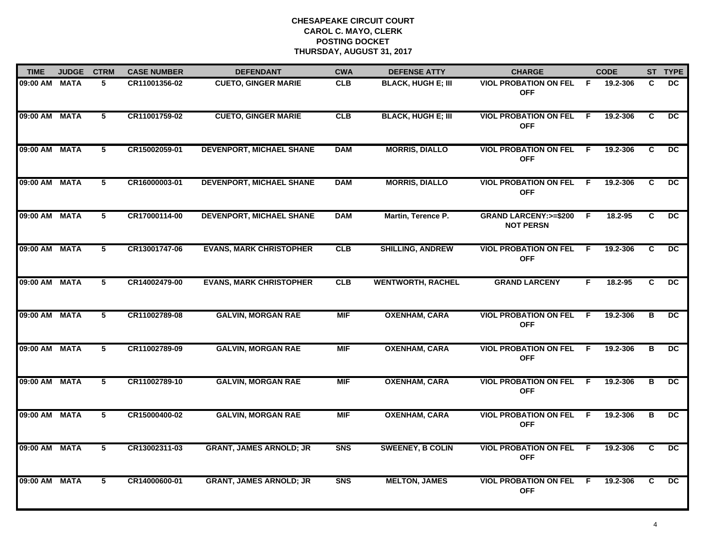| <b>TIME</b>   | <b>JUDGE</b> | <b>CTRM</b>    | <b>CASE NUMBER</b> | <b>DEFENDANT</b>                | <b>CWA</b>     | <b>DEFENSE ATTY</b>       | <b>CHARGE</b>                                        |                | <b>CODE</b> |                         | ST TYPE         |
|---------------|--------------|----------------|--------------------|---------------------------------|----------------|---------------------------|------------------------------------------------------|----------------|-------------|-------------------------|-----------------|
| 09:00 AM MATA |              | 5              | CR11001356-02      | <b>CUETO, GINGER MARIE</b>      | <b>CLB</b>     | <b>BLACK, HUGH E; III</b> | <b>VIOL PROBATION ON FEL</b><br><b>OFF</b>           | -F.            | 19.2-306    | C                       | DC.             |
| 09:00 AM MATA |              | 5              | CR11001759-02      | <b>CUETO, GINGER MARIE</b>      | <b>CLB</b>     | <b>BLACK, HUGH E; III</b> | <b>VIOL PROBATION ON FEL</b><br><b>OFF</b>           | - F            | 19.2-306    | C                       | DC.             |
| 09:00 AM MATA |              | 5              | CR15002059-01      | <b>DEVENPORT, MICHAEL SHANE</b> | <b>DAM</b>     | <b>MORRIS, DIALLO</b>     | <b>VIOL PROBATION ON FEL</b><br><b>OFF</b>           | F.             | 19.2-306    | C                       | DC.             |
| 09:00 AM      | MATA         | 5              | CR16000003-01      | <b>DEVENPORT, MICHAEL SHANE</b> | <b>DAM</b>     | <b>MORRIS, DIALLO</b>     | <b>VIOL PROBATION ON FEL</b><br><b>OFF</b>           | -F.            | 19.2-306    | C                       | DC.             |
| 09:00 AM MATA |              | 5              | CR17000114-00      | <b>DEVENPORT, MICHAEL SHANE</b> | <b>DAM</b>     | Martin, Terence P.        | <b>GRAND LARCENY: &gt;=\$200</b><br><b>NOT PERSN</b> | E              | 18.2-95     | C.                      | DC.             |
| 09:00 AM MATA |              | 5              | CR13001747-06      | <b>EVANS, MARK CHRISTOPHER</b>  | CLB            | <b>SHILLING, ANDREW</b>   | <b>VIOL PROBATION ON FEL</b><br><b>OFF</b>           | -F.            | 19.2-306    | C.                      | $\overline{DC}$ |
| 09:00 AM MATA |              | $\overline{5}$ | CR14002479-00      | <b>EVANS, MARK CHRISTOPHER</b>  | CLB            | <b>WENTWORTH, RACHEL</b>  | <b>GRAND LARCENY</b>                                 | F.             | 18.2-95     | $\overline{\mathbf{c}}$ | $\overline{DC}$ |
| 09:00 AM MATA |              | 5              | CR11002789-08      | <b>GALVIN, MORGAN RAE</b>       | <b>MIF</b>     | <b>OXENHAM, CARA</b>      | <b>VIOL PROBATION ON FEL</b><br><b>OFF</b>           | F.             | 19.2-306    | В                       | $\overline{DC}$ |
| 09:00 AM MATA |              | 5              | CR11002789-09      | <b>GALVIN, MORGAN RAE</b>       | <b>MIF</b>     | <b>OXENHAM, CARA</b>      | <b>VIOL PROBATION ON FEL</b><br><b>OFF</b>           | - F            | 19.2-306    | В                       | DC              |
| 09:00 AM MATA |              | 5              | CR11002789-10      | <b>GALVIN, MORGAN RAE</b>       | <b>MIF</b>     | <b>OXENHAM, CARA</b>      | <b>VIOL PROBATION ON FEL</b><br><b>OFF</b>           | -F             | 19.2-306    | B                       | <b>DC</b>       |
| 09:00 AM MATA |              | 5              | CR15000400-02      | <b>GALVIN, MORGAN RAE</b>       | <b>MIF</b>     | <b>OXENHAM, CARA</b>      | <b>VIOL PROBATION ON FEL</b><br><b>OFF</b>           | F.             | 19.2-306    | в                       | $\overline{DC}$ |
| 09:00 AM MATA |              | 5              | CR13002311-03      | <b>GRANT, JAMES ARNOLD; JR</b>  | S <sub>N</sub> | <b>SWEENEY, B COLIN</b>   | <b>VIOL PROBATION ON FEL</b><br><b>OFF</b>           | $\overline{F}$ | 19.2-306    | $\overline{c}$          | $\overline{DC}$ |
| 09:00 AM MATA |              | 5              | CR14000600-01      | <b>GRANT, JAMES ARNOLD; JR</b>  | <b>SNS</b>     | <b>MELTON, JAMES</b>      | <b>VIOL PROBATION ON FEL</b><br><b>OFF</b>           | F.             | 19.2-306    | C.                      | $\overline{DC}$ |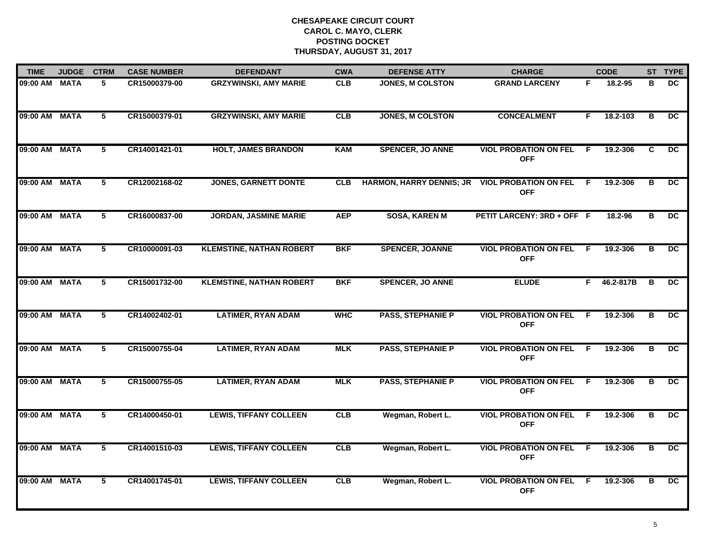| <b>TIME</b>   | <b>JUDGE</b> | <b>CTRM</b>    | <b>CASE NUMBER</b> | <b>DEFENDANT</b>                | <b>CWA</b> | <b>DEFENSE ATTY</b>             | <b>CHARGE</b>                              |                | <b>CODE</b> |                         | ST TYPE         |
|---------------|--------------|----------------|--------------------|---------------------------------|------------|---------------------------------|--------------------------------------------|----------------|-------------|-------------------------|-----------------|
| 09:00 AM MATA |              | 5.             | CR15000379-00      | <b>GRZYWINSKI, AMY MARIE</b>    | <b>CLB</b> | <b>JONES, M COLSTON</b>         | <b>GRAND LARCENY</b>                       | F.             | 18.2-95     | в                       | DC.             |
| 09:00 AM MATA |              | 5              | CR15000379-01      | <b>GRZYWINSKI, AMY MARIE</b>    | CLB        | <b>JONES, M COLSTON</b>         | <b>CONCEALMENT</b>                         | F.             | 18.2-103    | в                       | $\overline{DC}$ |
| 09:00 AM MATA |              | 5              | CR14001421-01      | <b>HOLT, JAMES BRANDON</b>      | <b>KAM</b> | <b>SPENCER, JO ANNE</b>         | <b>VIOL PROBATION ON FEL</b><br><b>OFF</b> | -F             | 19.2-306    | C                       | $\overline{DC}$ |
| 09:00 AM MATA |              | 5              | CR12002168-02      | <b>JONES, GARNETT DONTE</b>     | <b>CLB</b> | <b>HARMON, HARRY DENNIS; JR</b> | <b>VIOL PROBATION ON FEL</b><br><b>OFF</b> | - F            | 19.2-306    | в                       | DC.             |
| 09:00 AM MATA |              | 5              | CR16000837-00      | <b>JORDAN, JASMINE MARIE</b>    | <b>AEP</b> | <b>SOSA, KAREN M</b>            | PETIT LARCENY: 3RD + OFF F                 |                | 18.2-96     | в                       | DC.             |
| 09:00 AM MATA |              | 5              | CR10000091-03      | <b>KLEMSTINE, NATHAN ROBERT</b> | <b>BKF</b> | <b>SPENCER, JOANNE</b>          | <b>VIOL PROBATION ON FEL</b><br><b>OFF</b> | F.             | 19.2-306    | В                       | DC.             |
| 09:00 AM MATA |              | $\overline{5}$ | CR15001732-00      | <b>KLEMSTINE, NATHAN ROBERT</b> | <b>BKF</b> | <b>SPENCER, JO ANNE</b>         | <b>ELUDE</b>                               | F              | 46.2-817B   | $\overline{\mathbf{B}}$ | $\overline{DC}$ |
| 09:00 AM MATA |              | 5              | CR14002402-01      | <b>LATIMER, RYAN ADAM</b>       | <b>WHC</b> | <b>PASS, STEPHANIE P</b>        | <b>VIOL PROBATION ON FEL</b><br><b>OFF</b> | F              | 19.2-306    | В                       | $\overline{DC}$ |
| 09:00 AM MATA |              | 5              | CR15000755-04      | <b>LATIMER, RYAN ADAM</b>       | <b>MLK</b> | <b>PASS, STEPHANIE P</b>        | <b>VIOL PROBATION ON FEL</b><br><b>OFF</b> | -F             | 19.2-306    | В                       | <b>DC</b>       |
| 09:00 AM MATA |              | 5              | CR15000755-05      | <b>LATIMER, RYAN ADAM</b>       | <b>MLK</b> | <b>PASS, STEPHANIE P</b>        | <b>VIOL PROBATION ON FEL</b><br><b>OFF</b> | -F             | 19.2-306    | в                       | $\overline{DC}$ |
| 09:00 AM MATA |              | 5              | CR14000450-01      | <b>LEWIS, TIFFANY COLLEEN</b>   | CLB        | Wegman, Robert L.               | <b>VIOL PROBATION ON FEL</b><br><b>OFF</b> | F.             | 19.2-306    | В                       | DC.             |
| 09:00 AM MATA |              | $5^{-}$        | CR14001510-03      | <b>LEWIS, TIFFANY COLLEEN</b>   | CLB        | Wegman, Robert L.               | <b>VIOL PROBATION ON FEL</b><br><b>OFF</b> | $\overline{F}$ | 19.2-306    | $\overline{\mathbf{B}}$ | $\overline{DC}$ |
| 09:00 AM MATA |              | 5              | CR14001745-01      | <b>LEWIS, TIFFANY COLLEEN</b>   | CLB        | Wegman, Robert L.               | <b>VIOL PROBATION ON FEL</b><br><b>OFF</b> | F.             | 19.2-306    | в                       | $\overline{DC}$ |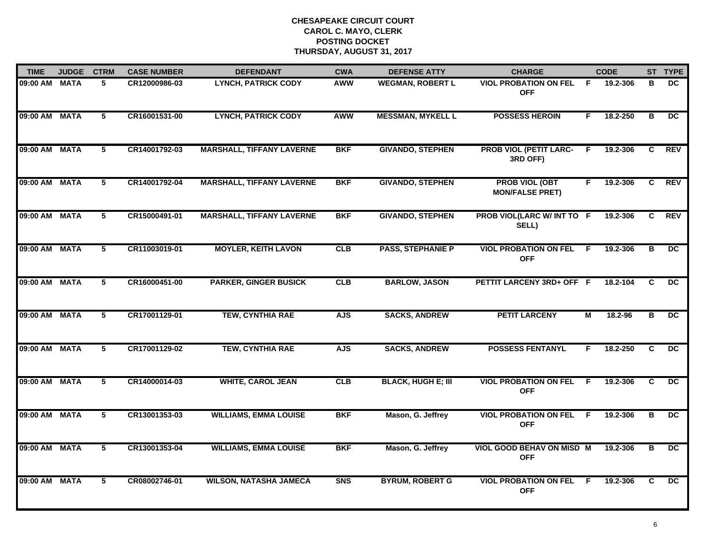| <b>TIME</b>   | <b>JUDGE</b> | <b>CTRM</b> | <b>CASE NUMBER</b> | <b>DEFENDANT</b>                 | <b>CWA</b> | <b>DEFENSE ATTY</b>       | <b>CHARGE</b>                                   |     | <b>CODE</b> |    | ST TYPE         |
|---------------|--------------|-------------|--------------------|----------------------------------|------------|---------------------------|-------------------------------------------------|-----|-------------|----|-----------------|
| 09:00 AM MATA |              | 5.          | CR12000986-03      | <b>LYNCH, PATRICK CODY</b>       | AWW        | <b>WEGMAN, ROBERT L</b>   | <b>VIOL PROBATION ON FEL</b><br><b>OFF</b>      | -F  | 19.2-306    | в  | DC.             |
| 09:00 AM MATA |              | 5           | CR16001531-00      | <b>LYNCH, PATRICK CODY</b>       | <b>AWW</b> | <b>MESSMAN, MYKELL L</b>  | <b>POSSESS HEROIN</b>                           | F.  | 18.2-250    | в  | $\overline{DC}$ |
| 09:00 AM MATA |              | 5           | CR14001792-03      | <b>MARSHALL, TIFFANY LAVERNE</b> | <b>BKF</b> | <b>GIVANDO, STEPHEN</b>   | <b>PROB VIOL (PETIT LARC-</b><br>3RD OFF)       | F   | 19.2-306    | C  | <b>REV</b>      |
| 09:00 AM MATA |              | 5           | CR14001792-04      | <b>MARSHALL, TIFFANY LAVERNE</b> | <b>BKF</b> | <b>GIVANDO, STEPHEN</b>   | <b>PROB VIOL (OBT</b><br><b>MON/FALSE PRET)</b> | F.  | 19.2-306    | C  | <b>REV</b>      |
| 09:00 AM MATA |              | 5           | CR15000491-01      | <b>MARSHALL, TIFFANY LAVERNE</b> | <b>BKF</b> | <b>GIVANDO, STEPHEN</b>   | PROB VIOL(LARC W/ INT TO F<br>SELL)             |     | 19.2-306    | C. | <b>REV</b>      |
| 09:00 AM MATA |              | 5           | CR11003019-01      | <b>MOYLER, KEITH LAVON</b>       | CLB        | <b>PASS, STEPHANIE P</b>  | <b>VIOL PROBATION ON FEL</b><br><b>OFF</b>      | -F. | 19.2-306    | в  | $\overline{DC}$ |
| 09:00 AM MATA |              | 5           | CR16000451-00      | <b>PARKER, GINGER BUSICK</b>     | <b>CLB</b> | <b>BARLOW, JASON</b>      | PETTIT LARCENY 3RD+ OFF F                       |     | 18.2-104    | C  | $\overline{DC}$ |
| 09:00 AM MATA |              | 5           | CR17001129-01      | <b>TEW, CYNTHIA RAE</b>          | <b>AJS</b> | <b>SACKS, ANDREW</b>      | <b>PETIT LARCENY</b>                            | М   | 18.2-96     | B  | DC              |
| 09:00 AM MATA |              | 5           | CR17001129-02      | <b>TEW, CYNTHIA RAE</b>          | <b>AJS</b> | <b>SACKS, ANDREW</b>      | <b>POSSESS FENTANYL</b>                         | F   | 18.2-250    | C  | DC.             |
| 09:00 AM MATA |              | 5           | CR14000014-03      | <b>WHITE, CAROL JEAN</b>         | CLB        | <b>BLACK, HUGH E; III</b> | <b>VIOL PROBATION ON FEL</b><br><b>OFF</b>      | E   | 19.2-306    | C  | DC              |
| 09:00 AM MATA |              | 5           | CR13001353-03      | <b>WILLIAMS, EMMA LOUISE</b>     | <b>BKF</b> | Mason, G. Jeffrey         | <b>VIOL PROBATION ON FEL</b><br><b>OFF</b>      | -F. | 19.2-306    | в  | DC.             |
| 09:00 AM MATA |              | 5           | CR13001353-04      | <b>WILLIAMS, EMMA LOUISE</b>     | <b>BKF</b> | Mason, G. Jeffrey         | VIOL GOOD BEHAV ON MISD M<br><b>OFF</b>         |     | 19.2-306    | в  | $\overline{DC}$ |
| 09:00 AM MATA |              | 5           | CR08002746-01      | <b>WILSON, NATASHA JAMECA</b>    | <b>SNS</b> | <b>BYRUM, ROBERT G</b>    | <b>VIOL PROBATION ON FEL</b><br><b>OFF</b>      | E   | 19.2-306    | C  | DC.             |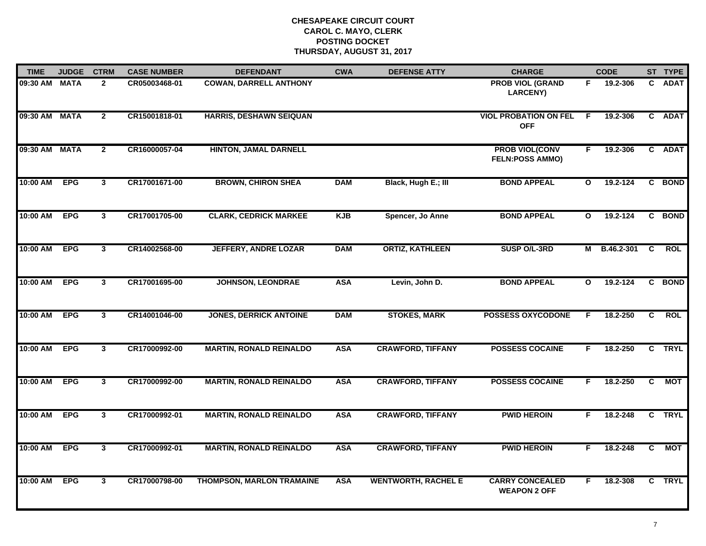| <b>TIME</b>   | <b>JUDGE</b> | <b>CTRM</b>    | <b>CASE NUMBER</b> | <b>DEFENDANT</b>                 | <b>CWA</b> | <b>DEFENSE ATTY</b>        | <b>CHARGE</b>                                   |              | <b>CODE</b>    |                | ST TYPE     |
|---------------|--------------|----------------|--------------------|----------------------------------|------------|----------------------------|-------------------------------------------------|--------------|----------------|----------------|-------------|
| 09:30 AM MATA |              | $\mathbf{2}$   | CR05003468-01      | <b>COWAN, DARRELL ANTHONY</b>    |            |                            | <b>PROB VIOL (GRAND</b><br><b>LARCENY)</b>      | F.           | 19.2-306       | $\mathbf{c}$   | <b>ADAT</b> |
| 09:30 AM MATA |              | $\overline{2}$ | CR15001818-01      | <b>HARRIS, DESHAWN SEIQUAN</b>   |            |                            | <b>VIOL PROBATION ON FEL</b><br><b>OFF</b>      | F.           | 19.2-306       |                | C ADAT      |
| 09:30 AM MATA |              | $\overline{2}$ | CR16000057-04      | <b>HINTON, JAMAL DARNELL</b>     |            |                            | <b>PROB VIOL(CONV</b><br><b>FELN:POSS AMMO)</b> | F.           | 19.2-306       |                | C ADAT      |
| 10:00 AM      | <b>EPG</b>   | $\mathbf{3}$   | CR17001671-00      | <b>BROWN, CHIRON SHEA</b>        | <b>DAM</b> | Black, Hugh E.; III        | <b>BOND APPEAL</b>                              | $\mathbf{o}$ | 19.2-124       |                | C BOND      |
| 10:00 AM      | <b>EPG</b>   | $\mathbf{3}$   | CR17001705-00      | <b>CLARK, CEDRICK MARKEE</b>     | <b>KJB</b> | Spencer, Jo Anne           | <b>BOND APPEAL</b>                              | $\mathbf{o}$ | 19.2-124       |                | C BOND      |
| 10:00 AM      | <b>EPG</b>   | $\mathbf{3}$   | CR14002568-00      | <b>JEFFERY, ANDRE LOZAR</b>      | <b>DAM</b> | <b>ORTIZ, KATHLEEN</b>     | SUSP O/L-3RD                                    |              | M B.46.2-301 C |                | <b>ROL</b>  |
| 10:00 AM      | <b>EPG</b>   | $\overline{3}$ | CR17001695-00      | <b>JOHNSON, LEONDRAE</b>         | <b>ASA</b> | Levin, John D.             | <b>BOND APPEAL</b>                              | $\mathbf{o}$ | 19.2-124       |                | C BOND      |
| 10:00 AM      | <b>EPG</b>   | $\mathbf{3}$   | CR14001046-00      | <b>JONES, DERRICK ANTOINE</b>    | <b>DAM</b> | <b>STOKES, MARK</b>        | <b>POSSESS OXYCODONE</b>                        | F            | 18.2-250       | C.             | <b>ROL</b>  |
| 10:00 AM      | <b>EPG</b>   | $\mathbf{3}$   | CR17000992-00      | <b>MARTIN, RONALD REINALDO</b>   | <b>ASA</b> | <b>CRAWFORD, TIFFANY</b>   | <b>POSSESS COCAINE</b>                          | F.           | 18.2-250       | C.             | <b>TRYL</b> |
| 10:00 AM      | <b>EPG</b>   | $\mathbf{3}$   | CR17000992-00      | <b>MARTIN, RONALD REINALDO</b>   | <b>ASA</b> | <b>CRAWFORD, TIFFANY</b>   | <b>POSSESS COCAINE</b>                          | F.           | 18.2-250       | C.             | <b>MOT</b>  |
| 10:00 AM      | <b>EPG</b>   | $\mathbf{3}$   | CR17000992-01      | <b>MARTIN, RONALD REINALDO</b>   | <b>ASA</b> | <b>CRAWFORD, TIFFANY</b>   | <b>PWID HEROIN</b>                              | F.           | 18.2-248       |                | C TRYL      |
| 10:00 AM      | <b>EPG</b>   | $\overline{3}$ | CR17000992-01      | <b>MARTIN, RONALD REINALDO</b>   | <b>ASA</b> | <b>CRAWFORD, TIFFANY</b>   | <b>PWID HEROIN</b>                              | F            | 18.2-248       | $\overline{c}$ | <b>MOT</b>  |
| 10:00 AM      | <b>EPG</b>   | $\mathbf{3}$   | CR17000798-00      | <b>THOMPSON, MARLON TRAMAINE</b> | <b>ASA</b> | <b>WENTWORTH, RACHEL E</b> | <b>CARRY CONCEALED</b><br><b>WEAPON 2 OFF</b>   | F.           | 18.2-308       |                | C TRYL      |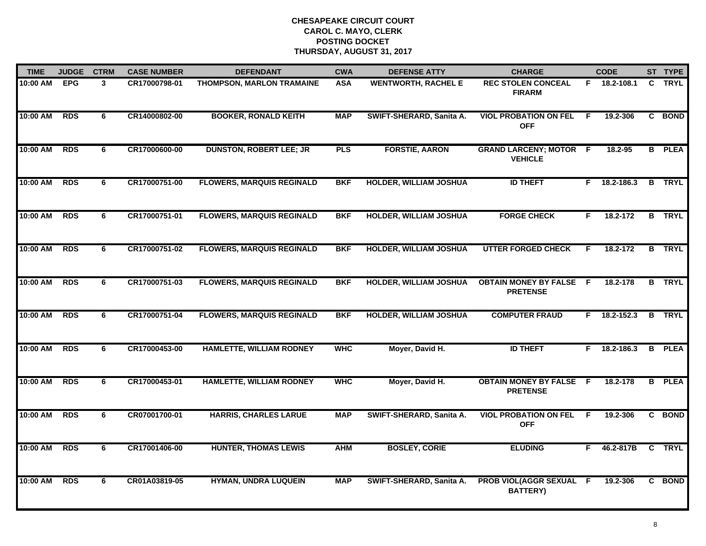| <b>TIME</b> | <b>JUDGE</b> | <b>CTRM</b> | <b>CASE NUMBER</b> | <b>DEFENDANT</b>                 | <b>CWA</b> | <b>DEFENSE ATTY</b>           | <b>CHARGE</b>                                     |     | <b>CODE</b>    |                | ST TYPE       |
|-------------|--------------|-------------|--------------------|----------------------------------|------------|-------------------------------|---------------------------------------------------|-----|----------------|----------------|---------------|
| 10:00 AM    | <b>EPG</b>   | 3           | CR17000798-01      | <b>THOMPSON, MARLON TRAMAINE</b> | <b>ASA</b> | <b>WENTWORTH, RACHEL E</b>    | <b>REC STOLEN CONCEAL</b><br><b>FIRARM</b>        |     | F 18.2-108.1   | C.             | <b>TRYL</b>   |
| 10:00 AM    | <b>RDS</b>   | 6           | CR14000802-00      | <b>BOOKER, RONALD KEITH</b>      | <b>MAP</b> | SWIFT-SHERARD, Sanita A.      | <b>VIOL PROBATION ON FEL</b><br><b>OFF</b>        | -F  | 19.2-306       | C              | <b>BOND</b>   |
| 10:00 AM    | <b>RDS</b>   | 6           | CR17000600-00      | <b>DUNSTON, ROBERT LEE; JR</b>   | <b>PLS</b> | <b>FORSTIE, AARON</b>         | <b>GRAND LARCENY; MOTOR F</b><br><b>VEHICLE</b>   |     | 18.2-95        |                | <b>B</b> PLEA |
| 10:00 AM    | <b>RDS</b>   | 6           | CR17000751-00      | <b>FLOWERS, MARQUIS REGINALD</b> | <b>BKF</b> | <b>HOLDER, WILLIAM JOSHUA</b> | <b>ID THEFT</b>                                   |     | $F$ 18.2-186.3 |                | <b>B</b> TRYL |
| 10:00 AM    | <b>RDS</b>   | 6           | CR17000751-01      | <b>FLOWERS, MARQUIS REGINALD</b> | <b>BKF</b> | <b>HOLDER, WILLIAM JOSHUA</b> | <b>FORGE CHECK</b>                                | F.  | 18.2-172       |                | <b>B</b> TRYL |
| 10:00 AM    | <b>RDS</b>   | 6           | CR17000751-02      | <b>FLOWERS, MARQUIS REGINALD</b> | <b>BKF</b> | <b>HOLDER, WILLIAM JOSHUA</b> | <b>UTTER FORGED CHECK</b>                         | F   | 18.2-172       |                | <b>B</b> TRYL |
| 10:00 AM    | <b>RDS</b>   | 6           | CR17000751-03      | <b>FLOWERS, MARQUIS REGINALD</b> | <b>BKF</b> | <b>HOLDER, WILLIAM JOSHUA</b> | <b>OBTAIN MONEY BY FALSE F</b><br><b>PRETENSE</b> |     | 18.2-178       |                | <b>B</b> TRYL |
| 10:00 AM    | <b>RDS</b>   | 6           | CR17000751-04      | <b>FLOWERS, MARQUIS REGINALD</b> | <b>BKF</b> | <b>HOLDER, WILLIAM JOSHUA</b> | <b>COMPUTER FRAUD</b>                             | F.  | 18.2-152.3     | $\overline{B}$ | <b>TRYL</b>   |
| 10:00 AM    | <b>RDS</b>   | 6           | CR17000453-00      | <b>HAMLETTE, WILLIAM RODNEY</b>  | <b>WHC</b> | Moyer, David H.               | <b>ID THEFT</b>                                   | F.  | 18.2-186.3     | B.             | <b>PLEA</b>   |
| 10:00 AM    | <b>RDS</b>   | 6           | CR17000453-01      | <b>HAMLETTE, WILLIAM RODNEY</b>  | <b>WHC</b> | Moyer, David H.               | <b>OBTAIN MONEY BY FALSE F</b><br><b>PRETENSE</b> |     | 18.2-178       | B              | <b>PLEA</b>   |
| 10:00 AM    | <b>RDS</b>   | 6           | CR07001700-01      | <b>HARRIS, CHARLES LARUE</b>     | <b>MAP</b> | SWIFT-SHERARD, Sanita A.      | <b>VIOL PROBATION ON FEL</b><br><b>OFF</b>        | - F | 19.2-306       |                | C BOND        |
| 10:00 AM    | <b>RDS</b>   | 6           | CR17001406-00      | <b>HUNTER, THOMAS LEWIS</b>      | <b>AHM</b> | <b>BOSLEY, CORIE</b>          | <b>ELUDING</b>                                    | F.  | 46.2-817B C    |                | <b>TRYL</b>   |
| 10:00 AM    | <b>RDS</b>   | 6           | CR01A03819-05      | <b>HYMAN, UNDRA LUQUEIN</b>      | <b>MAP</b> | SWIFT-SHERARD, Sanita A.      | PROB VIOL(AGGR SEXUAL F<br><b>BATTERY)</b>        |     | 19.2-306       |                | C BOND        |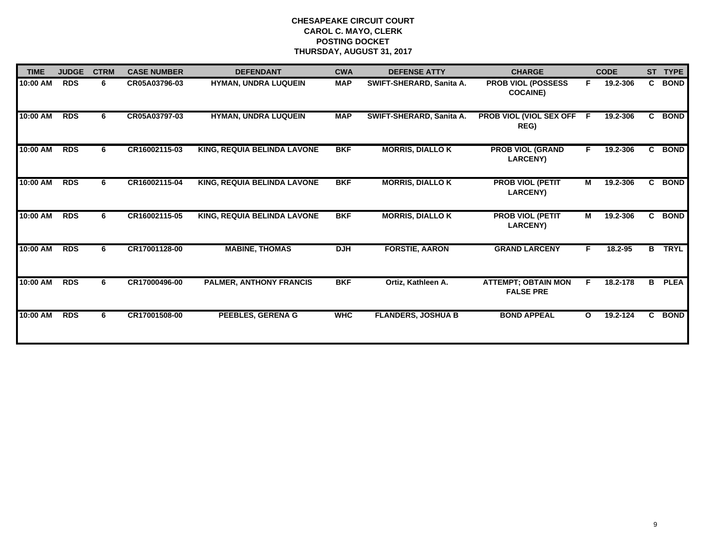| <b>TIME</b> | <b>JUDGE</b> | <b>CTRM</b> | <b>CASE NUMBER</b> | <b>DEFENDANT</b>                   | <b>CWA</b> | <b>DEFENSE ATTY</b>       | <b>CHARGE</b>                                  |              | <b>CODE</b> |                | ST TYPE     |
|-------------|--------------|-------------|--------------------|------------------------------------|------------|---------------------------|------------------------------------------------|--------------|-------------|----------------|-------------|
| 10:00 AM    | <b>RDS</b>   | 6           | CR05A03796-03      | HYMAN, UNDRA LUQUEIN               | <b>MAP</b> | SWIFT-SHERARD, Sanita A.  | <b>PROB VIOL (POSSESS</b><br><b>COCAINE)</b>   | F.           | 19.2-306    |                | C BOND      |
| 10:00 AM    | <b>RDS</b>   | 6           | CR05A03797-03      | <b>HYMAN, UNDRA LUQUEIN</b>        | <b>MAP</b> | SWIFT-SHERARD, Sanita A.  | PROB VIOL (VIOL SEX OFF<br>REG)                | $\mathsf{F}$ | 19.2-306    |                | C BOND      |
| 10:00 AM    | <b>RDS</b>   | 6           | CR16002115-03      | KING, REQUIA BELINDA LAVONE        | <b>BKF</b> | <b>MORRIS, DIALLO K</b>   | <b>PROB VIOL (GRAND</b><br><b>LARCENY)</b>     | F.           | 19.2-306    | C.             | <b>BOND</b> |
| 10:00 AM    | <b>RDS</b>   | 6.          | CR16002115-04      | <b>KING, REQUIA BELINDA LAVONE</b> | <b>BKF</b> | <b>MORRIS, DIALLO K</b>   | <b>PROB VIOL (PETIT</b><br><b>LARCENY)</b>     | M            | 19.2-306    |                | C BOND      |
| 10:00 AM    | <b>RDS</b>   | 6.          | CR16002115-05      | KING, REQUIA BELINDA LAVONE        | <b>BKF</b> | <b>MORRIS, DIALLO K</b>   | <b>PROB VIOL (PETIT</b><br><b>LARCENY)</b>     | М            | 19.2-306    |                | C BOND      |
| 10:00 AM    | <b>RDS</b>   | 6           | CR17001128-00      | <b>MABINE, THOMAS</b>              | <b>DJH</b> | <b>FORSTIE, AARON</b>     | <b>GRAND LARCENY</b>                           | F.           | 18.2-95     | $\overline{B}$ | <b>TRYL</b> |
| 10:00 AM    | <b>RDS</b>   | 6           | CR17000496-00      | <b>PALMER, ANTHONY FRANCIS</b>     | <b>BKF</b> | Ortiz, Kathleen A.        | <b>ATTEMPT; OBTAIN MON</b><br><b>FALSE PRE</b> | F            | 18.2-178    | В              | <b>PLEA</b> |
| 10:00 AM    | <b>RDS</b>   | 6.          | CR17001508-00      | <b>PEEBLES, GERENA G</b>           | <b>WHC</b> | <b>FLANDERS, JOSHUA B</b> | <b>BOND APPEAL</b>                             | $\mathbf{o}$ | 19.2-124    | C.             | <b>BOND</b> |